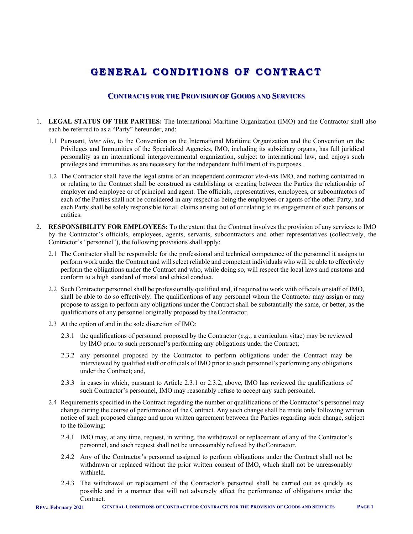# **GENERAL C O NDI T I O NS O F C O NTRACT**

# **CONTRACTS FOR THE PROVISION OF GOODS AND SERVICES**

- 1. **LEGAL STATUS OF THE PARTIES:** The International Maritime Organization (IMO) and the Contractor shall also each be referred to as a "Party" hereunder, and:
	- 1.1 Pursuant, *inter alia,* to the Convention on the International Maritime Organization and the Convention on the Privileges and Immunities of the Specialized Agencies, IMO, including its subsidiary organs, has full juridical personality as an international intergovernmental organization, subject to international law, and enjoys such privileges and immunities as are necessary for the independent fulfillment of its purposes.
	- 1.2 The Contractor shall have the legal status of an independent contractor *vis-à-vis* IMO, and nothing contained in or relating to the Contract shall be construed as establishing or creating between the Parties the relationship of employer and employee or of principal and agent. The officials, representatives, employees, or subcontractors of each of the Parties shall not be considered in any respect as being the employees or agents of the other Party, and each Party shall be solely responsible for all claims arising out of or relating to its engagement of such persons or entities.
- 2. **RESPONSIBILITY FOR EMPLOYEES:** To the extent that the Contract involves the provision of any services to IMO by the Contractor's officials, employees, agents, servants, subcontractors and other representatives (collectively, the Contractor's "personnel"), the following provisions shall apply:
	- 2.1 The Contractor shall be responsible for the professional and technical competence of the personnel it assigns to perform work under the Contract and will select reliable and competent individuals who will be able to effectively perform the obligations under the Contract and who, while doing so, will respect the local laws and customs and conform to a high standard of moral and ethical conduct.
	- 2.2 Such Contractor personnel shall be professionally qualified and, if required to work with officials or staff of IMO, shall be able to do so effectively. The qualifications of any personnel whom the Contractor may assign or may propose to assign to perform any obligations under the Contract shall be substantially the same, or better, as the qualifications of any personnel originally proposed by the Contractor.
	- 2.3 At the option of and in the sole discretion of IMO:
		- 2.3.1 the qualifications of personnel proposed by the Contractor (*e.g.,* a curriculum vitae) may be reviewed by IMO prior to such personnel's performing any obligations under the Contract;
		- 2.3.2 any personnel proposed by the Contractor to perform obligations under the Contract may be interviewed by qualified staff or officials of IMO prior to such personnel's performing any obligations under the Contract; and,
		- 2.3.3 in cases in which, pursuant to Article 2.3.1 or 2.3.2, above, IMO has reviewed the qualifications of such Contractor's personnel, IMO may reasonably refuse to accept any such personnel.
	- 2.4 Requirements specified in the Contract regarding the number or qualifications of the Contractor's personnel may change during the course of performance of the Contract. Any such change shall be made only following written notice of such proposed change and upon written agreement between the Parties regarding such change, subject to the following:
		- 2.4.1 IMO may, at any time, request, in writing, the withdrawal or replacement of any of the Contractor's personnel, and such request shall not be unreasonably refused by the Contractor.
		- 2.4.2 Any of the Contractor's personnel assigned to perform obligations under the Contract shall not be withdrawn or replaced without the prior written consent of IMO, which shall not be unreasonably withheld.
		- 2.4.3 The withdrawal or replacement of the Contractor's personnel shall be carried out as quickly as possible and in a manner that will not adversely affect the performance of obligations under the Contract.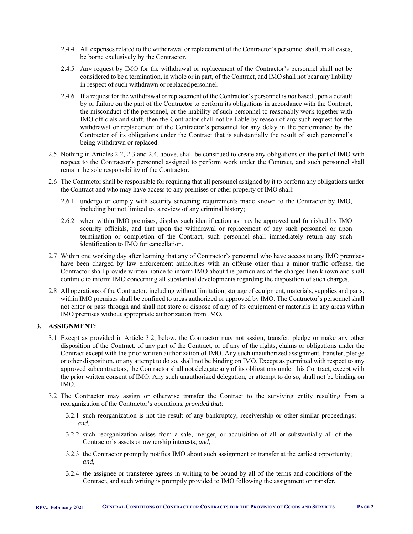- 2.4.4 All expenses related to the withdrawal or replacement of the Contractor's personnel shall, in all cases, be borne exclusively by the Contractor.
- 2.4.5 Any request by IMO for the withdrawal or replacement of the Contractor's personnel shall not be considered to be a termination, in whole or in part, of the Contract, and IMO shall not bear any liability in respect of such withdrawn or replaced personnel.
- 2.4.6 If a request for the withdrawal or replacement of the Contractor's personnel is *not* based upon a default by or failure on the part of the Contractor to perform its obligations in accordance with the Contract, the misconduct of the personnel, or the inability of such personnel to reasonably work together with IMO officials and staff, then the Contractor shall not be liable by reason of any such request for the withdrawal or replacement of the Contractor's personnel for any delay in the performance by the Contractor of its obligations under the Contract that is substantially the result of such personnel's being withdrawn or replaced.
- 2.5 Nothing in Articles 2.2, 2.3 and 2.4, above, shall be construed to create any obligations on the part of IMO with respect to the Contractor's personnel assigned to perform work under the Contract, and such personnel shall remain the sole responsibility of the Contractor.
- 2.6 The Contractor shall be responsible for requiring that all personnel assigned by it to perform any obligations under the Contract and who may have access to any premises or other property of IMO shall:
	- 2.6.1 undergo or comply with security screening requirements made known to the Contractor by IMO, including but not limited to, a review of any criminal history;
	- 2.6.2 when within IMO premises, display such identification as may be approved and furnished by IMO security officials, and that upon the withdrawal or replacement of any such personnel or upon termination or completion of the Contract, such personnel shall immediately return any such identification to IMO for cancellation.
- 2.7 Within one working day after learning that any of Contractor's personnel who have access to any IMO premises have been charged by law enforcement authorities with an offense other than a minor traffic offense, the Contractor shall provide written notice to inform IMO about the particulars of the charges then known and shall continue to inform IMO concerning all substantial developments regarding the disposition of such charges.
- 2.8 All operations of the Contractor, including without limitation, storage of equipment, materials, supplies and parts, within IMO premises shall be confined to areas authorized or approved by IMO. The Contractor's personnel shall not enter or pass through and shall not store or dispose of any of its equipment or materials in any areas within IMO premises without appropriate authorization from IMO.

# **3. ASSIGNMENT:**

- 3.1 Except as provided in Article 3.2, below, the Contractor may not assign, transfer, pledge or make any other disposition of the Contract, of any part of the Contract, or of any of the rights, claims or obligations under the Contract except with the prior written authorization of IMO. Any such unauthorized assignment, transfer, pledge or other disposition, or any attempt to do so, shall not be binding on IMO. Except as permitted with respect to any approved subcontractors, the Contractor shall not delegate any of its obligations under this Contract, except with the prior written consent of IMO. Any such unauthorized delegation, or attempt to do so, shall not be binding on IMO.
- 3.2 The Contractor may assign or otherwise transfer the Contract to the surviving entity resulting from a reorganization of the Contractor's operations, *provided that:* 
	- 3.2.1 such reorganization is not the result of any bankruptcy, receivership or other similar proceedings; *and,*
	- 3.2.2 such reorganization arises from a sale, merger, or acquisition of all or substantially all of the Contractor's assets or ownership interests; *and*,
	- 3.2.3 the Contractor promptly notifies IMO about such assignment or transfer at the earliest opportunity; *and*,
	- 3.2.4 the assignee or transferee agrees in writing to be bound by all of the terms and conditions of the Contract, and such writing is promptly provided to IMO following the assignment or transfer.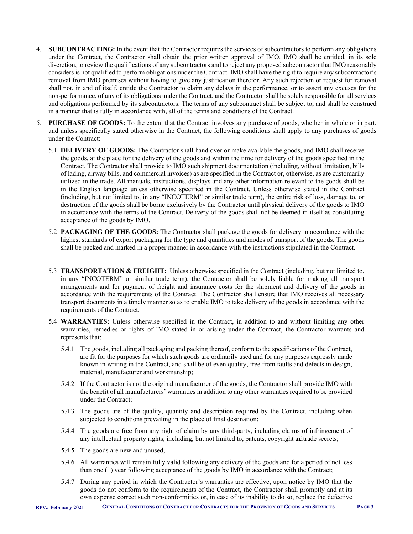- 4. **SUBCONTRACTING:** In the event that the Contractor requires the services of subcontractors to perform any obligations under the Contract, the Contractor shall obtain the prior written approval of IMO. IMO shall be entitled, in its sole discretion, to review the qualifications of any subcontractors and to reject any proposed subcontractor that IMO reasonably considers is not qualified to perform obligations under the Contract. IMO shall have the right to require any subcontractor's removal from IMO premises without having to give any justification therefor. Any such rejection or request for removal shall not, in and of itself, entitle the Contractor to claim any delays in the performance, or to assert any excuses for the non-performance, of any of its obligations under the Contract, and the Contractor shall be solely responsible for all services and obligations performed by its subcontractors. The terms of any subcontract shall be subject to, and shall be construed in a manner that is fully in accordance with, all of the terms and conditions of the Contract.
- 5. **PURCHASE OF GOODS:** To the extent that the Contract involves any purchase of goods, whether in whole or in part, and unless specifically stated otherwise in the Contract, the following conditions shall apply to any purchases of goods under the Contract:
	- 5.1 **DELIVERY OF GOODS:** The Contractor shall hand over or make available the goods, and IMO shall receive the goods, at the place for the delivery of the goods and within the time for delivery of the goods specified in the Contract. The Contractor shall provide to IMO such shipment documentation (including, without limitation, bills of lading, airway bills, and commercial invoices) as are specified in the Contract or, otherwise, as are customarily utilized in the trade. All manuals, instructions, displays and any other information relevant to the goods shall be in the English language unless otherwise specified in the Contract. Unless otherwise stated in the Contract (including, but not limited to, in any "INCOTERM" or similar trade term), the entire risk of loss, damage to, or destruction of the goods shall be borne exclusively by the Contractor until physical delivery of the goods to IMO in accordance with the terms of the Contract. Delivery of the goods shall not be deemed in itself as constituting acceptance of the goods by IMO.
	- 5.2 **PACKAGING OF THE GOODS:** The Contractor shall package the goods for delivery in accordance with the highest standards of export packaging for the type and quantities and modes of transport of the goods. The goods shall be packed and marked in a proper manner in accordance with the instructions stipulated in the Contract.
	- 5.3 **TRANSPORTATION & FREIGHT:** Unless otherwise specified in the Contract (including, but not limited to, in any "INCOTERM" or similar trade term), the Contractor shall be solely liable for making all transport arrangements and for payment of freight and insurance costs for the shipment and delivery of the goods in accordance with the requirements of the Contract. The Contractor shall ensure that IMO receives all necessary transport documents in a timely manner so as to enable IMO to take delivery of the goods in accordance with the requirements of the Contract.
	- 5.4 **WARRANTIES:** Unless otherwise specified in the Contract, in addition to and without limiting any other warranties, remedies or rights of IMO stated in or arising under the Contract, the Contractor warrants and represents that:
		- 5.4.1 The goods, including all packaging and packing thereof, conform to the specifications of the Contract, are fit for the purposes for which such goods are ordinarily used and for any purposes expressly made known in writing in the Contract, and shall be of even quality, free from faults and defects in design, material, manufacturer and workmanship;
		- 5.4.2 If the Contractor is not the original manufacturer of the goods, the Contractor shall provide IMO with the benefit of all manufacturers' warranties in addition to any other warranties required to be provided under the Contract;
		- 5.4.3 The goods are of the quality, quantity and description required by the Contract, including when subjected to conditions prevailing in the place of final destination;
		- 5.4.4 The goods are free from any right of claim by any third-party, including claims of infringement of any intellectual property rights, including, but not limited to, patents, copyright and trade secrets;
		- 5.4.5 The goods are new and unused;
		- 5.4.6 All warranties will remain fully valid following any delivery of the goods and for a period of not less than one (1) year following acceptance of the goods by IMO in accordance with the Contract;
		- 5.4.7 During any period in which the Contractor's warranties are effective, upon notice by IMO that the goods do not conform to the requirements of the Contract, the Contractor shall promptly and at its own expense correct such non-conformities or, in case of its inability to do so, replace the defective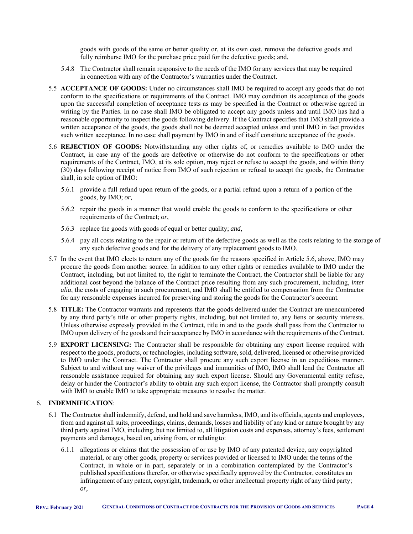goods with goods of the same or better quality or, at its own cost, remove the defective goods and fully reimburse IMO for the purchase price paid for the defective goods; and,

- 5.4.8 The Contractor shall remain responsive to the needs of the IMO for any services that may be required in connection with any of the Contractor's warranties under the Contract.
- 5.5 **ACCEPTANCE OF GOODS:** Under no circumstances shall IMO be required to accept any goods that do not conform to the specifications or requirements of the Contract. IMO may condition its acceptance of the goods upon the successful completion of acceptance tests as may be specified in the Contract or otherwise agreed in writing by the Parties. In no case shall IMO be obligated to accept any goods unless and until IMO has had a reasonable opportunity to inspect the goods following delivery. If the Contract specifies that IMO shall provide a written acceptance of the goods, the goods shall not be deemed accepted unless and until IMO in fact provides such written acceptance. In no case shall payment by IMO in and of itself constitute acceptance of the goods.
- 5.6 **REJECTION OF GOODS:** Notwithstanding any other rights of, or remedies available to IMO under the Contract, in case any of the goods are defective or otherwise do not conform to the specifications or other requirements of the Contract, IMO, at its sole option, may reject or refuse to accept the goods, and within thirty (30) days following receipt of notice from IMO of such rejection or refusal to accept the goods, the Contractor shall, in sole option of IMO:
	- 5.6.1 provide a full refund upon return of the goods, or a partial refund upon a return of a portion of the goods, by IMO; *or,*
	- 5.6.2 repair the goods in a manner that would enable the goods to conform to the specifications or other requirements of the Contract; *or*,
	- 5.6.3 replace the goods with goods of equal or better quality; *and*,
	- 5.6.4 pay all costs relating to the repair or return of the defective goods as well as the costs relating to the storage of any such defective goods and for the delivery of any replacement goods to IMO.
- 5.7 In the event that IMO elects to return any of the goods for the reasons specified in Article 5.6, above, IMO may procure the goods from another source. In addition to any other rights or remedies available to IMO under the Contract, including, but not limited to, the right to terminate the Contract, the Contractor shall be liable for any additional cost beyond the balance of the Contract price resulting from any such procurement, including, *inter alia*, the costs of engaging in such procurement, and IMO shall be entitled to compensation from the Contractor for any reasonable expenses incurred for preserving and storing the goods for the Contractor's account.
- 5.8 **TITLE:** The Contractor warrants and represents that the goods delivered under the Contract are unencumbered by any third party's title or other property rights, including, but not limited to, any liens or security interests. Unless otherwise expressly provided in the Contract, title in and to the goods shall pass from the Contractor to IMO upon delivery of the goods and their acceptance by IMO in accordance with the requirements of the Contract.
- 5.9 **EXPORT LICENSING:** The Contractor shall be responsible for obtaining any export license required with respect to the goods, products, or technologies, including software, sold, delivered, licensed or otherwise provided to IMO under the Contract. The Contractor shall procure any such export license in an expeditious manner. Subject to and without any waiver of the privileges and immunities of IMO, IMO shall lend the Contractor all reasonable assistance required for obtaining any such export license. Should any Governmental entity refuse, delay or hinder the Contractor's ability to obtain any such export license, the Contractor shall promptly consult with IMO to enable IMO to take appropriate measures to resolve the matter.

# 6. **INDEMNIFICATION**:

- 6.1 The Contractor shall indemnify, defend, and hold and save harmless, IMO, and its officials, agents and employees, from and against all suits, proceedings, claims, demands, losses and liability of any kind or nature brought by any third party against IMO, including, but not limited to, all litigation costs and expenses, attorney's fees, settlement payments and damages, based on, arising from, or relating to:
	- 6.1.1 allegations or claims that the possession of or use by IMO of any patented device, any copyrighted material, or any other goods, property or services provided or licensed to IMO under the terms of the Contract, in whole or in part, separately or in a combination contemplated by the Contractor's published specifications therefor, or otherwise specifically approved by the Contractor, constitutes an infringement of any patent, copyright, trademark, or other intellectual property right of any third party; *or,*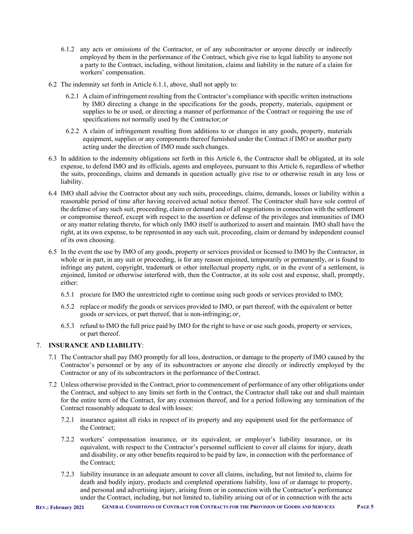- 6.1.2 any acts or omissions of the Contractor, or of any subcontractor or anyone directly or indirectly employed by them in the performance of the Contract, which give rise to legal liability to anyone not a party to the Contract, including, without limitation, claims and liability in the nature of a claim for workers' compensation.
- 6.2 The indemnity set forth in Article 6.1.1, above, shall not apply to:
	- 6.2.1 A claim of infringement resulting from the Contractor's compliance with specific written instructions by IMO directing a change in the specifications for the goods, property, materials, equipment or supplies to be or used, or directing a manner of performance of the Contract or requiring the use of specifications not normally used by the Contractor; *or*
	- 6.2.2 A claim of infringement resulting from additions to or changes in any goods, property, materials equipment, supplies or any components thereof furnished under the Contract if IMO or another party acting under the direction of IMO made such changes.
- 6.3 In addition to the indemnity obligations set forth in this Article 6, the Contractor shall be obligated, at its sole expense, to defend IMO and its officials, agents and employees, pursuant to this Article 6, regardless of whether the suits, proceedings, claims and demands in question actually give rise to or otherwise result in any loss or liability.
- 6.4 IMO shall advise the Contractor about any such suits, proceedings, claims, demands, losses or liability within a reasonable period of time after having received actual notice thereof. The Contractor shall have sole control of the defense of any such suit, proceeding, claim or demand and of all negotiations in connection with the settlement or compromise thereof, except with respect to the assertion or defense of the privileges and immunities of IMO or any matter relating thereto, for which only IMO itself is authorized to assert and maintain. IMO shall have the right, at its own expense, to be represented in any such suit, proceeding, claim or demand by independent counsel of its own choosing.
- 6.5 In the event the use by IMO of any goods, property or services provided or licensed to IMO by the Contractor, in whole or in part, in any suit or proceeding, is for any reason enjoined, temporarily or permanently, or is found to infringe any patent, copyright, trademark or other intellectual property right, or in the event of a settlement, is enjoined, limited or otherwise interfered with, then the Contractor, at its sole cost and expense, shall, promptly, either:
	- 6.5.1 procure for IMO the unrestricted right to continue using such goods or services provided to IMO;
	- 6.5.2 replace or modify the goods or services provided to IMO, or part thereof, with the equivalent or better goods or services, or part thereof, that is non-infringing; *or*,
	- 6.5.3 refund to IMO the full price paid by IMO for the right to have or use such goods, property or services, or part thereof.

# 7. **INSURANCE AND LIABILITY**:

- 7.1 The Contractor shall pay IMO promptly for all loss, destruction, or damage to the property of IMO caused by the Contractor's personnel or by any of its subcontractors or anyone else directly or indirectly employed by the Contractor or any of its subcontractors in the performance of the Contract.
- 7.2 Unless otherwise provided in the Contract, prior to commencement of performance of any other obligations under the Contract, and subject to any limits set forth in the Contract, the Contractor shall take out and shall maintain for the entire term of the Contract, for any extension thereof, and for a period following any termination of the Contract reasonably adequate to deal with losses:
	- 7.2.1 insurance against all risks in respect of its property and any equipment used for the performance of the Contract;
	- 7.2.2 workers' compensation insurance, or its equivalent, or employer's liability insurance, or its equivalent, with respect to the Contractor's personnel sufficient to cover all claims for injury, death and disability, or any other benefits required to be paid by law, in connection with the performance of the Contract;
	- 7.2.3 liability insurance in an adequate amount to cover all claims, including, but not limited to, claims for death and bodily injury, products and completed operations liability, loss of or damage to property, and personal and advertising injury, arising from or in connection with the Contractor's performance under the Contract, including, but not limited to, liability arising out of or in connection with the acts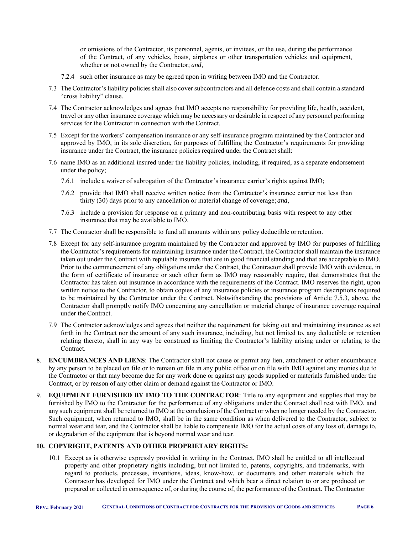or omissions of the Contractor, its personnel, agents, or invitees, or the use, during the performance of the Contract, of any vehicles, boats, airplanes or other transportation vehicles and equipment, whether or not owned by the Contractor; *and*,

- 7.2.4 such other insurance as may be agreed upon in writing between IMO and the Contractor.
- 7.3 The Contractor's liability policies shall also cover subcontractors and all defence costs and shall contain a standard "cross liability" clause.
- 7.4 The Contractor acknowledges and agrees that IMO accepts no responsibility for providing life, health, accident, travel or any other insurance coverage which may be necessary or desirable in respect of any personnel performing services for the Contractor in connection with the Contract.
- 7.5 Except for the workers' compensation insurance or any self-insurance program maintained by the Contractor and approved by IMO, in its sole discretion, for purposes of fulfilling the Contractor's requirements for providing insurance under the Contract, the insurance policies required under the Contract shall:
- 7.6 name IMO as an additional insured under the liability policies, including, if required, as a separate endorsement under the policy;
	- 7.6.1 include a waiver of subrogation of the Contractor's insurance carrier's rights against IMO;
	- 7.6.2 provide that IMO shall receive written notice from the Contractor's insurance carrier not less than thirty (30) days prior to any cancellation or material change of coverage; *and*,
	- 7.6.3 include a provision for response on a primary and non-contributing basis with respect to any other insurance that may be available to IMO.
- 7.7 The Contractor shall be responsible to fund all amounts within any policy deductible or retention.
- 7.8 Except for any self-insurance program maintained by the Contractor and approved by IMO for purposes of fulfilling the Contractor's requirements for maintaining insurance under the Contract, the Contractor shall maintain the insurance taken out under the Contract with reputable insurers that are in good financial standing and that are acceptable to IMO. Prior to the commencement of any obligations under the Contract, the Contractor shall provide IMO with evidence, in the form of certificate of insurance or such other form as IMO may reasonably require, that demonstrates that the Contractor has taken out insurance in accordance with the requirements of the Contract. IMO reserves the right, upon written notice to the Contractor, to obtain copies of any insurance policies or insurance program descriptions required to be maintained by the Contractor under the Contract. Notwithstanding the provisions of Article 7.5.3, above, the Contractor shall promptly notify IMO concerning any cancellation or material change of insurance coverage required under the Contract.
- 7.9 The Contractor acknowledges and agrees that neither the requirement for taking out and maintaining insurance as set forth in the Contract nor the amount of any such insurance, including, but not limited to, any deductible or retention relating thereto, shall in any way be construed as limiting the Contractor's liability arising under or relating to the Contract.
- 8. **ENCUMBRANCES AND LIENS**: The Contractor shall not cause or permit any lien, attachment or other encumbrance by any person to be placed on file or to remain on file in any public office or on file with IMO against any monies due to the Contractor or that may become due for any work done or against any goods supplied or materials furnished under the Contract, or by reason of any other claim or demand against the Contractor or IMO.
- 9. **EQUIPMENT FURNISHED BY IMO TO THE CONTRACTOR**: Title to any equipment and supplies that may be furnished by IMO to the Contractor for the performance of any obligations under the Contract shall rest with IMO, and any such equipment shall be returned to IMO at the conclusion of the Contract or when no longer needed by the Contractor. Such equipment, when returned to IMO, shall be in the same condition as when delivered to the Contractor, subject to normal wear and tear, and the Contractor shall be liable to compensate IMO for the actual costs of any loss of, damage to, or degradation of the equipment that is beyond normal wear and tear.

#### **10. COPYRIGHT, PATENTS AND OTHER PROPRIETARY RIGHTS:**

10.1 Except as is otherwise expressly provided in writing in the Contract, IMO shall be entitled to all intellectual property and other proprietary rights including, but not limited to, patents, copyrights, and trademarks, with regard to products, processes, inventions, ideas, know-how, or documents and other materials which the Contractor has developed for IMO under the Contract and which bear a direct relation to or are produced or prepared or collected in consequence of, or during the course of, the performance of the Contract. The Contractor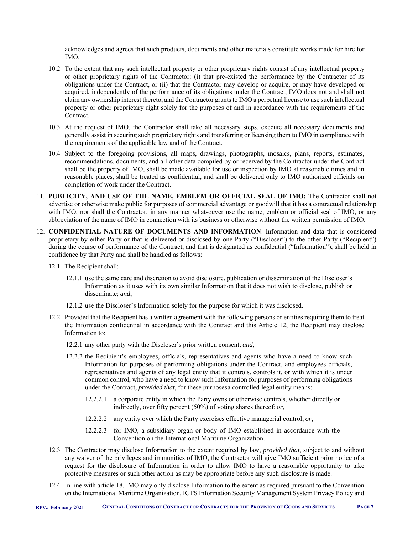acknowledges and agrees that such products, documents and other materials constitute works made for hire for IMO.

- 10.2 To the extent that any such intellectual property or other proprietary rights consist of any intellectual property or other proprietary rights of the Contractor: (i) that pre-existed the performance by the Contractor of its obligations under the Contract, or (ii) that the Contractor may develop or acquire, or may have developed or acquired, independently of the performance of its obligations under the Contract, IMO does not and shall not claim any ownership interest thereto, and the Contractor grants to IMO a perpetual license to use such intellectual property or other proprietary right solely for the purposes of and in accordance with the requirements of the Contract.
- 10.3 At the request of IMO, the Contractor shall take all necessary steps, execute all necessary documents and generally assist in securing such proprietary rights and transferring or licensing them to IMO in compliance with the requirements of the applicable law and of the Contract.
- 10.4 Subject to the foregoing provisions, all maps, drawings, photographs, mosaics, plans, reports, estimates, recommendations, documents, and all other data compiled by or received by the Contractor under the Contract shall be the property of IMO, shall be made available for use or inspection by IMO at reasonable times and in reasonable places, shall be treated as confidential, and shall be delivered only to IMO authorized officials on completion of work under the Contract.
- 11. **PUBLICITY, AND USE OF THE NAME, EMBLEM OR OFFICIAL SEAL OF IMO:** The Contractor shall not advertise or otherwise make public for purposes of commercial advantage or goodwill that it has a contractual relationship with IMO, nor shall the Contractor, in any manner whatsoever use the name, emblem or official seal of IMO, or any abbreviation of the name of IMO in connection with its business or otherwise without the written permission of IMO.
- 12. **CONFIDENTIAL NATURE OF DOCUMENTS AND INFORMATION**: Information and data that is considered proprietary by either Party or that is delivered or disclosed by one Party ("Discloser") to the other Party ("Recipient") during the course of performance of the Contract, and that is designated as confidential ("Information"), shall be held in confidence by that Party and shall be handled as follows:
	- 12.1 The Recipient shall:
		- 12.1.1 use the same care and discretion to avoid disclosure, publication or dissemination of the Discloser's Information as it uses with its own similar Information that it does not wish to disclose, publish or disseminate; *and*,
		- 12.1.2 use the Discloser's Information solely for the purpose for which it was disclosed.
	- 12.2 Provided that the Recipient has a written agreement with the following persons or entities requiring them to treat the Information confidential in accordance with the Contract and this Article 12, the Recipient may disclose Information to:
		- 12.2.1 any other party with the Discloser's prior written consent; *and*,
		- 12.2.2 the Recipient's employees, officials, representatives and agents who have a need to know such Information for purposes of performing obligations under the Contract, and employees officials, representatives and agents of any legal entity that it controls, controls it, or with which it is under common control, who have a need to know such Information for purposes of performing obligations under the Contract, *provided that,* for these purposes a controlled legal entity means:
			- 12.2.2.1 a corporate entity in which the Party owns or otherwise controls, whether directly or indirectly, over fifty percent (50%) of voting shares thereof; *or*,
			- 12.2.2.2 any entity over which the Party exercises effective managerial control; *or*,
			- 12.2.2.3 for IMO, a subsidiary organ or body of IMO established in accordance with the Convention on the International Maritime Organization.
	- 12.3 The Contractor may disclose Information to the extent required by law, *provided that*, subject to and without any waiver of the privileges and immunities of IMO, the Contractor will give IMO sufficient prior notice of a request for the disclosure of Information in order to allow IMO to have a reasonable opportunity to take protective measures or such other action as may be appropriate before any such disclosure is made.
	- 12.4 In line with article 18, IMO may only disclose Information to the extent as required pursuant to the Convention on the International Maritime Organization, ICTS Information Security Management System Privacy Policy and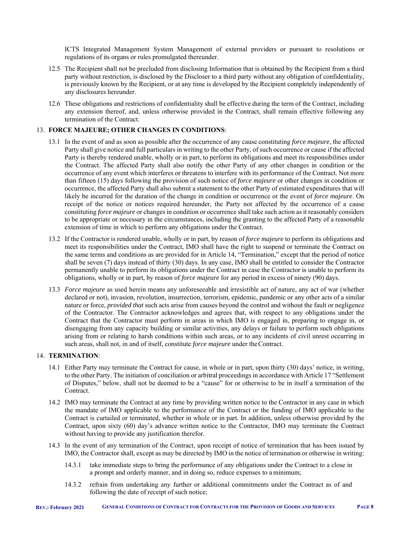ICTS Integrated Management System Management of external providers or pursuant to resolutions or regulations of its organs or rules promulgated thereunder.

- 12.5 The Recipient shall not be precluded from disclosing Information that is obtained by the Recipient from a third party without restriction, is disclosed by the Discloser to a third party without any obligation of confidentiality, is previously known by the Recipient, or at any time is developed by the Recipient completely independently of any disclosures hereunder.
- 12.6 These obligations and restrictions of confidentiality shall be effective during the term of the Contract, including any extension thereof, and, unless otherwise provided in the Contract, shall remain effective following any termination of the Contract.

# 13. **FORCE MAJEURE; OTHER CHANGES IN CONDITIONS**:

- 13.1 In the event of and as soon as possible after the occurrence of any cause constituting *force majeure*, the affected Party shall give notice and full particulars in writing to the other Party, of such occurrence or cause if the affected Party is thereby rendered unable, wholly or in part, to perform its obligations and meet its responsibilities under the Contract. The affected Party shall also notify the other Party of any other changes in condition or the occurrence of any event which interferes or threatens to interfere with its performance of the Contract. Not more than fifteen (15) days following the provision of such notice of *force majeure* or other changes in condition or occurrence, the affected Party shall also submit a statement to the other Party of estimated expenditures that will likely be incurred for the duration of the change in condition or occurrence or the event of *force majeure*. On receipt of the notice or notices required hereunder, the Party not affected by the occurrence of a cause constituting *force majeure* or changes in condition or occurrence shall take such action as it reasonably considers to be appropriate or necessary in the circumstances, including the granting to the affected Party of a reasonable extension of time in which to perform any obligations under the Contract.
- 13.2 If the Contractor is rendered unable, wholly or in part, by reason of *force majeure* to perform its obligations and meet its responsibilities under the Contract, IMO shall have the right to suspend or terminate the Contract on the same terms and conditions as are provided for in Article 14, "Termination," except that the period of notice shall be seven (7) days instead of thirty (30) days. In any case, IMO shall be entitled to consider the Contractor permanently unable to perform its obligations under the Contract in case the Contractor is unable to perform its obligations, wholly or in part, by reason of *force majeure* for any period in excess of ninety (90) days.
- 13.3 *Force majeure* as used herein means any unforeseeable and irresistible act of nature, any act of war (whether declared or not), invasion, revolution, insurrection, terrorism, epidemic, pandemic or any other acts of a similar nature or force, *provided that* such acts arise from causes beyond the control and without the fault or negligence of the Contractor. The Contractor acknowledges and agrees that, with respect to any obligations under the Contract that the Contractor must perform in areas in which IMO is engaged in, preparing to engage in, or disengaging from any capacity building or similar activities, any delays or failure to perform such obligations arising from or relating to harsh conditions within such areas, or to any incidents of civil unrest occurring in such areas, shall not, in and of itself, constitute *force majeure* under the Contract.

# 14. **TERMINATION**:

- 14.1 Either Party may terminate the Contract for cause, in whole or in part, upon thirty (30) days' notice, in writing, to the other Party. The initiation of conciliation or arbitral proceedings in accordance with Article 17 "Settlement of Disputes," below, shall not be deemed to be a "cause" for or otherwise to be in itself a termination of the Contract.
- 14.2 IMO may terminate the Contract at any time by providing written notice to the Contractor in any case in which the mandate of IMO applicable to the performance of the Contract or the funding of IMO applicable to the Contract is curtailed or terminated, whether in whole or in part. In addition, unless otherwise provided by the Contract, upon sixty (60) day's advance written notice to the Contractor, IMO may terminate the Contract without having to provide any justification therefor.
- 14.3 In the event of any termination of the Contract, upon receipt of notice of termination that has been issued by IMO, the Contractor shall, except as may be directed by IMO in the notice of termination or otherwise in writing:
	- 14.3.1 take immediate steps to bring the performance of any obligations under the Contract to a close in a prompt and orderly manner, and in doing so, reduce expenses to a minimum;
	- 14.3.2 refrain from undertaking any further or additional commitments under the Contract as of and following the date of receipt of such notice;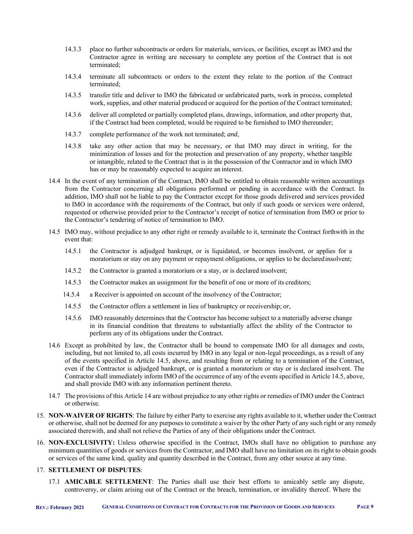- 14.3.3 place no further subcontracts or orders for materials, services, or facilities, except as IMO and the Contractor agree in writing are necessary to complete any portion of the Contract that is not terminated;
- 14.3.4 terminate all subcontracts or orders to the extent they relate to the portion of the Contract terminated;
- 14.3.5 transfer title and deliver to IMO the fabricated or unfabricated parts, work in process, completed work, supplies, and other material produced or acquired for the portion of the Contract terminated;
- 14.3.6 deliver all completed or partially completed plans, drawings, information, and other property that, if the Contract had been completed, would be required to be furnished to IMO thereunder;
- 14.3.7 complete performance of the work not terminated; *and*,
- 14.3.8 take any other action that may be necessary, or that IMO may direct in writing, for the minimization of losses and for the protection and preservation of any property, whether tangible or intangible, related to the Contract that is in the possession of the Contractor and in which IMO has or may be reasonably expected to acquire an interest.
- 14.4 In the event of any termination of the Contract, IMO shall be entitled to obtain reasonable written accountings from the Contractor concerning all obligations performed or pending in accordance with the Contract. In addition, IMO shall not be liable to pay the Contractor except for those goods delivered and services provided to IMO in accordance with the requirements of the Contract, but only if such goods or services were ordered, requested or otherwise provided prior to the Contractor's receipt of notice of termination from IMO or prior to the Contractor's tendering of notice of termination to IMO.
- 14.5 IMO may, without prejudice to any other right or remedy available to it, terminate the Contract forthwith in the event that:
	- 14.5.1 the Contractor is adjudged bankrupt, or is liquidated, or becomes insolvent, or applies for a moratorium or stay on any payment or repayment obligations, or applies to be declared insolvent;
	- 14.5.2 the Contractor is granted a moratorium or a stay, or is declared insolvent;
	- 14.5.3 the Contractor makes an assignment for the benefit of one or more of its creditors;
	- 14.5.4 a Receiver is appointed on account of the insolvency of the Contractor;
	- 14.5.5 the Contractor offers a settlement in lieu of bankruptcy or receivership; *or,*
	- 14.5.6 IMO reasonably determines that the Contractor has become subject to a materially adverse change in its financial condition that threatens to substantially affect the ability of the Contractor to perform any of its obligations under the Contract.
- 14.6 Except as prohibited by law, the Contractor shall be bound to compensate IMO for all damages and costs, including, but not limited to, all costs incurred by IMO in any legal or non-legal proceedings, as a result of any of the events specified in Article 14.5, above, and resulting from or relating to a termination of the Contract, even if the Contractor is adjudged bankrupt, or is granted a moratorium or stay or is declared insolvent. The Contractor shall immediately inform IMO of the occurrence of any of the events specified in Article 14.5, above, and shall provide IMO with any information pertinent thereto.
- 14.7 The provisions of this Article 14 are without prejudice to any other rights or remedies of IMO under the Contract or otherwise.
- 15. **NON-WAIVER OF RIGHTS**: The failure by either Party to exercise any rights available to it, whether under the Contract or otherwise, shall not be deemed for any purposes to constitute a waiver by the other Party of any such right or any remedy associated therewith, and shall not relieve the Parties of any of their obligations under the Contract.
- 16. **NON-EXCLUSIVITY:** Unless otherwise specified in the Contract, IMOs shall have no obligation to purchase any minimum quantities of goods or services from the Contractor, and IMO shall have no limitation on its right to obtain goods or services of the same kind, quality and quantity described in the Contract, from any other source at any time.

# 17. **SETTLEMENT OF DISPUTES**:

17.1 **AMICABLE SETTLEMENT**: The Parties shall use their best efforts to amicably settle any dispute, controversy, or claim arising out of the Contract or the breach, termination, or invalidity thereof. Where the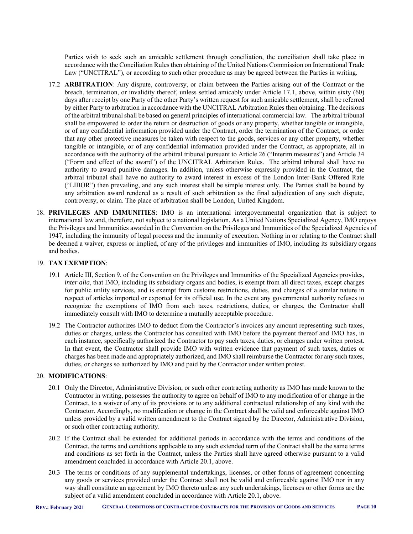Parties wish to seek such an amicable settlement through conciliation, the conciliation shall take place in accordance with the Conciliation Rules then obtaining of the United Nations Commission on International Trade Law ("UNCITRAL"), or according to such other procedure as may be agreed between the Parties in writing.

- 17.2 **ARBITRATION**: Any dispute, controversy, or claim between the Parties arising out of the Contract or the breach, termination, or invalidity thereof, unless settled amicably under Article 17.1, above, within sixty (60) days after receipt by one Party of the other Party's written request for such amicable settlement, shall be referred by either Party to arbitration in accordance with the UNCITRAL Arbitration Rules then obtaining. The decisions of the arbitral tribunal shall be based on general principles of international commercial law. The arbitral tribunal shall be empowered to order the return or destruction of goods or any property, whether tangible or intangible, or of any confidential information provided under the Contract, order the termination of the Contract, or order that any other protective measures be taken with respect to the goods, services or any other property, whether tangible or intangible, or of any confidential information provided under the Contract, as appropriate, all in accordance with the authority of the arbitral tribunal pursuant to Article 26 ("Interim measures") and Article 34 ("Form and effect of the award") of the UNCITRAL Arbitration Rules. The arbitral tribunal shall have no authority to award punitive damages. In addition, unless otherwise expressly provided in the Contract, the arbitral tribunal shall have no authority to award interest in excess of the London Inter-Bank Offered Rate ("LIBOR") then prevailing, and any such interest shall be simple interest only. The Parties shall be bound by any arbitration award rendered as a result of such arbitration as the final adjudication of any such dispute, controversy, or claim. The place of arbitration shall be London, United Kingdom.
- 18. **PRIVILEGES AND IMMUNITIES**: IMO is an international intergovernmental organization that is subject to international law and, therefore, not subject to a national legislation. As a United Nations Specialized Agency, IMO enjoys the Privileges and Immunities awarded in the Convention on the Privileges and Immunities of the Specialized Agencies of 1947, including the immunity of legal process and the immunity of execution. Nothing in or relating to the Contract shall be deemed a waiver, express or implied, of any of the privileges and immunities of IMO, including its subsidiary organs and bodies.

#### 19. **TAX EXEMPTION**:

- 19.1 Article III, Section 9, of the Convention on the Privileges and Immunities of the Specialized Agencies provides, *inter alia*, that IMO, including its subsidiary organs and bodies, is exempt from all direct taxes, except charges for public utility services, and is exempt from customs restrictions, duties, and charges of a similar nature in respect of articles imported or exported for its official use. In the event any governmental authority refuses to recognize the exemptions of IMO from such taxes, restrictions, duties, or charges, the Contractor shall immediately consult with IMO to determine a mutually acceptable procedure.
- 19.2 The Contractor authorizes IMO to deduct from the Contractor's invoices any amount representing such taxes, duties or charges, unless the Contractor has consulted with IMO before the payment thereof and IMO has, in each instance, specifically authorized the Contractor to pay such taxes, duties, or charges under written protest. In that event, the Contractor shall provide IMO with written evidence that payment of such taxes, duties or charges has been made and appropriately authorized, and IMO shall reimburse the Contractor for any such taxes, duties, or charges so authorized by IMO and paid by the Contractor under written protest.

#### 20. **MODIFICATIONS**:

- 20.1 Only the Director, Administrative Division, or such other contracting authority as IMO has made known to the Contractor in writing, possesses the authority to agree on behalf of IMO to any modification of or change in the Contract, to a waiver of any of its provisions or to any additional contractual relationship of any kind with the Contractor. Accordingly, no modification or change in the Contract shall be valid and enforceable against IMO unless provided by a valid written amendment to the Contract signed by the Director, Administrative Division, or such other contracting authority.
- 20.2 If the Contract shall be extended for additional periods in accordance with the terms and conditions of the Contract, the terms and conditions applicable to any such extended term of the Contract shall be the same terms and conditions as set forth in the Contract, unless the Parties shall have agreed otherwise pursuant to a valid amendment concluded in accordance with Article 20.1, above.
- 20.3 The terms or conditions of any supplemental undertakings, licenses, or other forms of agreement concerning any goods or services provided under the Contract shall not be valid and enforceable against IMO nor in any way shall constitute an agreement by IMO thereto unless any such undertakings, licenses or other forms are the subject of a valid amendment concluded in accordance with Article 20.1, above.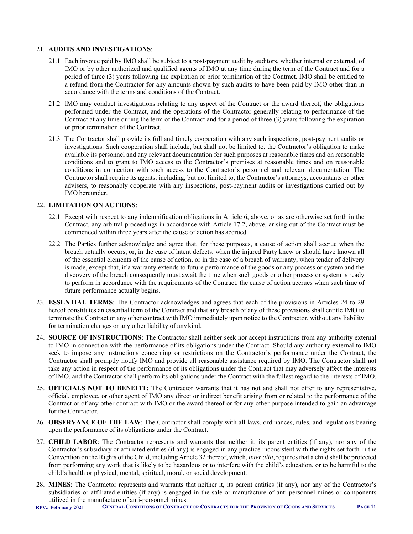#### 21. **AUDITS AND INVESTIGATIONS**:

- 21.1 Each invoice paid by IMO shall be subject to a post-payment audit by auditors, whether internal or external, of IMO or by other authorized and qualified agents of IMO at any time during the term of the Contract and for a period of three (3) years following the expiration or prior termination of the Contract. IMO shall be entitled to a refund from the Contractor for any amounts shown by such audits to have been paid by IMO other than in accordance with the terms and conditions of the Contract.
- 21.2 IMO may conduct investigations relating to any aspect of the Contract or the award thereof, the obligations performed under the Contract, and the operations of the Contractor generally relating to performance of the Contract at any time during the term of the Contract and for a period of three (3) years following the expiration or prior termination of the Contract.
- 21.3 The Contractor shall provide its full and timely cooperation with any such inspections, post-payment audits or investigations. Such cooperation shall include, but shall not be limited to, the Contractor's obligation to make available its personnel and any relevant documentation for such purposes at reasonable times and on reasonable conditions and to grant to IMO access to the Contractor's premises at reasonable times and on reasonable conditions in connection with such access to the Contractor's personnel and relevant documentation. The Contractor shall require its agents, including, but not limited to, the Contractor's attorneys, accountants or other advisers, to reasonably cooperate with any inspections, post-payment audits or investigations carried out by IMO hereunder.

#### 22. **LIMITATION ON ACTIONS**:

- 22.1 Except with respect to any indemnification obligations in Article 6, above, or as are otherwise set forth in the Contract, any arbitral proceedings in accordance with Article 17.2, above, arising out of the Contract must be commenced within three years after the cause of action has accrued.
- 22.2 The Parties further acknowledge and agree that, for these purposes, a cause of action shall accrue when the breach actually occurs, or, in the case of latent defects, when the injured Party knew or should have known all of the essential elements of the cause of action, or in the case of a breach of warranty, when tender of delivery is made, except that, if a warranty extends to future performance of the goods or any process or system and the discovery of the breach consequently must await the time when such goods or other process or system is ready to perform in accordance with the requirements of the Contract, the cause of action accrues when such time of future performance actually begins.
- 23. **ESSENTIAL TERMS**: The Contractor acknowledges and agrees that each of the provisions in Articles 24 to 29 hereof constitutes an essential term of the Contract and that any breach of any of these provisions shall entitle IMO to terminate the Contract or any other contract with IMO immediately upon notice to the Contractor, without any liability for termination charges or any other liability of any kind.
- 24. **SOURCE OF INSTRUCTIONS:** The Contractor shall neither seek nor accept instructions from any authority external to IMO in connection with the performance of its obligations under the Contract. Should any authority external to IMO seek to impose any instructions concerning or restrictions on the Contractor's performance under the Contract, the Contractor shall promptly notify IMO and provide all reasonable assistance required by IMO. The Contractor shall not take any action in respect of the performance of its obligations under the Contract that may adversely affect the interests of IMO, and the Contractor shall perform its obligations under the Contract with the fullest regard to the interests of IMO.
- 25. **OFFICIALS NOT TO BENEFIT:** The Contractor warrants that it has not and shall not offer to any representative, official, employee, or other agent of IMO any direct or indirect benefit arising from or related to the performance of the Contract or of any other contract with IMO or the award thereof or for any other purpose intended to gain an advantage for the Contractor.
- 26. **OBSERVANCE OF THE LAW**: The Contractor shall comply with all laws, ordinances, rules, and regulations bearing upon the performance of its obligations under the Contract.
- 27. **CHILD LABOR**: The Contractor represents and warrants that neither it, its parent entities (if any), nor any of the Contractor's subsidiary or affiliated entities (if any) is engaged in any practice inconsistent with the rights set forth in the Convention on the Rights of the Child, including Article 32 thereof, which, *inter alia*, requires that a child shall be protected from performing any work that is likely to be hazardous or to interfere with the child's education, or to be harmful to the child's health or physical, mental, spiritual, moral, or social development.
- 28. **MINES**: The Contractor represents and warrants that neither it, its parent entities (if any), nor any of the Contractor's subsidiaries or affiliated entities (if any) is engaged in the sale or manufacture of anti-personnel mines or components utilized in the manufacture of anti-personnel mines.